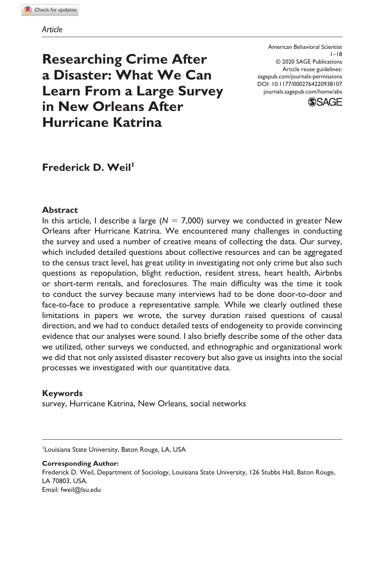**Researching Crime After a Disaster: What We Can Learn From a Large Survey in New Orleans After Hurricane Katrina**

DOI: 10.1177/0002764220938107 American Behavioral Scientist  $1 - 18$ © 2020 SAGE Publications Article reuse guidelines: [sagepub.com/journals-permissions](https://us.sagepub.com/en-us/journals-permissions) [journals.sagepub.com/home/abs](https://journals.sagepub.com/home/abs)



# **Frederick D. Weil<sup>1</sup>**

# **Abstract**

In this article, I describe a large  $(N = 7,000)$  survey we conducted in greater New Orleans after Hurricane Katrina. We encountered many challenges in conducting the survey and used a number of creative means of collecting the data. Our survey, which included detailed questions about collective resources and can be aggregated to the census tract level, has great utility in investigating not only crime but also such questions as repopulation, blight reduction, resident stress, heart health, Airbnbs or short-term rentals, and foreclosures. The main difficulty was the time it took to conduct the survey because many interviews had to be done door-to-door and face-to-face to produce a representative sample. While we clearly outlined these limitations in papers we wrote, the survey duration raised questions of causal direction, and we had to conduct detailed tests of endogeneity to provide convincing evidence that our analyses were sound. I also briefly describe some of the other data we utilized, other surveys we conducted, and ethnographic and organizational work we did that not only assisted disaster recovery but also gave us insights into the social processes we investigated with our quantitative data.

#### **Keywords**

survey, Hurricane Katrina, New Orleans, social networks

<sup>1</sup> Louisiana State University, Baton Rouge, LA, USA

**Corresponding Author:**

Frederick D. Weil, Department of Sociology, Louisiana State University, 126 Stubbs Hall, Baton Rouge, LA 70803, USA. Email: [fweil@lsu.edu](mailto:fweil@lsu.edu)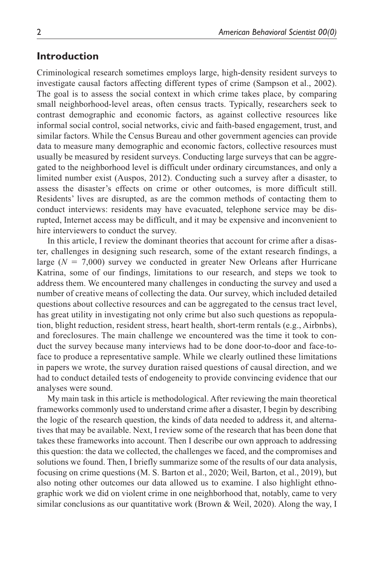# **Introduction**

Criminological research sometimes employs large, high-density resident surveys to investigate causal factors affecting different types of crime (Sampson et al., 2002). The goal is to assess the social context in which crime takes place, by comparing small neighborhood-level areas, often census tracts. Typically, researchers seek to contrast demographic and economic factors, as against collective resources like informal social control, social networks, civic and faith-based engagement, trust, and similar factors. While the Census Bureau and other government agencies can provide data to measure many demographic and economic factors, collective resources must usually be measured by resident surveys. Conducting large surveys that can be aggregated to the neighborhood level is difficult under ordinary circumstances, and only a limited number exist (Auspos, 2012). Conducting such a survey after a disaster, to assess the disaster's effects on crime or other outcomes, is more difficult still. Residents' lives are disrupted, as are the common methods of contacting them to conduct interviews: residents may have evacuated, telephone service may be disrupted, Internet access may be difficult, and it may be expensive and inconvenient to hire interviewers to conduct the survey.

In this article, I review the dominant theories that account for crime after a disaster, challenges in designing such research, some of the extant research findings, a large  $(N = 7,000)$  survey we conducted in greater New Orleans after Hurricane Katrina, some of our findings, limitations to our research, and steps we took to address them. We encountered many challenges in conducting the survey and used a number of creative means of collecting the data. Our survey, which included detailed questions about collective resources and can be aggregated to the census tract level, has great utility in investigating not only crime but also such questions as repopulation, blight reduction, resident stress, heart health, short-term rentals (e.g., Airbnbs), and foreclosures. The main challenge we encountered was the time it took to conduct the survey because many interviews had to be done door-to-door and face-toface to produce a representative sample. While we clearly outlined these limitations in papers we wrote, the survey duration raised questions of causal direction, and we had to conduct detailed tests of endogeneity to provide convincing evidence that our analyses were sound.

My main task in this article is methodological. After reviewing the main theoretical frameworks commonly used to understand crime after a disaster, I begin by describing the logic of the research question, the kinds of data needed to address it, and alternatives that may be available. Next, I review some of the research that has been done that takes these frameworks into account. Then I describe our own approach to addressing this question: the data we collected, the challenges we faced, and the compromises and solutions we found. Then, I briefly summarize some of the results of our data analysis, focusing on crime questions (M. S. Barton et al., 2020; Weil, Barton, et al., 2019), but also noting other outcomes our data allowed us to examine. I also highlight ethnographic work we did on violent crime in one neighborhood that, notably, came to very similar conclusions as our quantitative work (Brown & Weil, 2020). Along the way, I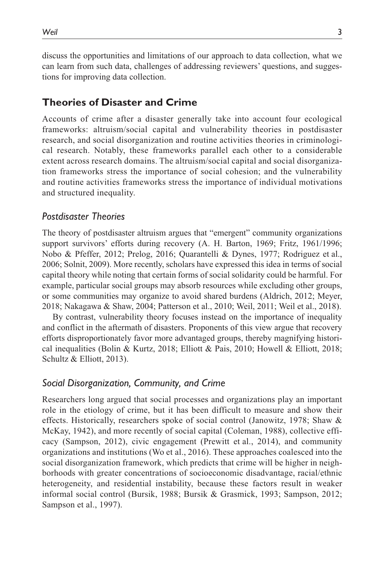discuss the opportunities and limitations of our approach to data collection, what we can learn from such data, challenges of addressing reviewers' questions, and suggestions for improving data collection.

## **Theories of Disaster and Crime**

Accounts of crime after a disaster generally take into account four ecological frameworks: altruism/social capital and vulnerability theories in postdisaster research, and social disorganization and routine activities theories in criminological research. Notably, these frameworks parallel each other to a considerable extent across research domains. The altruism/social capital and social disorganization frameworks stress the importance of social cohesion; and the vulnerability and routine activities frameworks stress the importance of individual motivations and structured inequality.

## *Postdisaster Theories*

The theory of postdisaster altruism argues that "emergent" community organizations support survivors' efforts during recovery (A. H. Barton, 1969; Fritz, 1961/1996; Nobo & Pfeffer, 2012; Prelog, 2016; Quarantelli & Dynes, 1977; Rodriguez et al., 2006; Solnit, 2009). More recently, scholars have expressed this idea in terms of social capital theory while noting that certain forms of social solidarity could be harmful. For example, particular social groups may absorb resources while excluding other groups, or some communities may organize to avoid shared burdens (Aldrich, 2012; Meyer, 2018; Nakagawa & Shaw, 2004; Patterson et al., 2010; Weil, 2011; Weil et al., 2018).

By contrast, vulnerability theory focuses instead on the importance of inequality and conflict in the aftermath of disasters. Proponents of this view argue that recovery efforts disproportionately favor more advantaged groups, thereby magnifying historical inequalities (Bolin & Kurtz, 2018; Elliott & Pais, 2010; Howell & Elliott, 2018; Schultz & Elliott, 2013).

#### *Social Disorganization, Community, and Crime*

Researchers long argued that social processes and organizations play an important role in the etiology of crime, but it has been difficult to measure and show their effects. Historically, researchers spoke of social control (Janowitz, 1978; Shaw & McKay, 1942), and more recently of social capital (Coleman, 1988), collective efficacy (Sampson, 2012), civic engagement (Prewitt et al., 2014), and community organizations and institutions (Wo et al., 2016). These approaches coalesced into the social disorganization framework, which predicts that crime will be higher in neighborhoods with greater concentrations of socioeconomic disadvantage, racial/ethnic heterogeneity, and residential instability, because these factors result in weaker informal social control (Bursik, 1988; Bursik & Grasmick, 1993; Sampson, 2012; Sampson et al., 1997).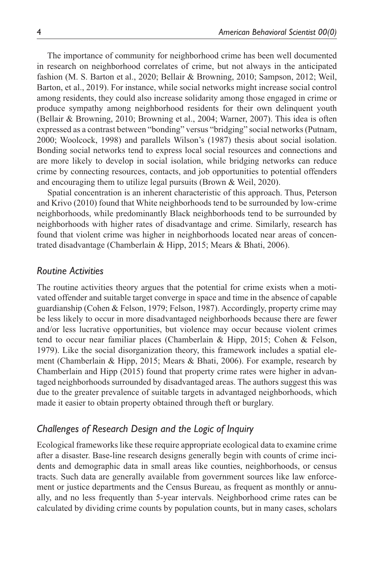The importance of community for neighborhood crime has been well documented in research on neighborhood correlates of crime, but not always in the anticipated fashion (M. S. Barton et al., 2020; Bellair & Browning, 2010; Sampson, 2012; Weil, Barton, et al., 2019). For instance, while social networks might increase social control among residents, they could also increase solidarity among those engaged in crime or produce sympathy among neighborhood residents for their own delinquent youth (Bellair & Browning, 2010; Browning et al., 2004; Warner, 2007). This idea is often expressed as a contrast between "bonding" versus "bridging" social networks (Putnam, 2000; Woolcock, 1998) and parallels Wilson's (1987) thesis about social isolation. Bonding social networks tend to express local social resources and connections and are more likely to develop in social isolation, while bridging networks can reduce crime by connecting resources, contacts, and job opportunities to potential offenders and encouraging them to utilize legal pursuits (Brown & Weil, 2020).

Spatial concentration is an inherent characteristic of this approach. Thus, Peterson and Krivo (2010) found that White neighborhoods tend to be surrounded by low-crime neighborhoods, while predominantly Black neighborhoods tend to be surrounded by neighborhoods with higher rates of disadvantage and crime. Similarly, research has found that violent crime was higher in neighborhoods located near areas of concentrated disadvantage (Chamberlain & Hipp, 2015; Mears & Bhati, 2006).

#### *Routine Activities*

The routine activities theory argues that the potential for crime exists when a motivated offender and suitable target converge in space and time in the absence of capable guardianship (Cohen & Felson, 1979; Felson, 1987). Accordingly, property crime may be less likely to occur in more disadvantaged neighborhoods because there are fewer and/or less lucrative opportunities, but violence may occur because violent crimes tend to occur near familiar places (Chamberlain & Hipp, 2015; Cohen & Felson, 1979). Like the social disorganization theory, this framework includes a spatial element (Chamberlain & Hipp, 2015; Mears & Bhati, 2006). For example, research by Chamberlain and Hipp (2015) found that property crime rates were higher in advantaged neighborhoods surrounded by disadvantaged areas. The authors suggest this was due to the greater prevalence of suitable targets in advantaged neighborhoods, which made it easier to obtain property obtained through theft or burglary.

# *Challenges of Research Design and the Logic of Inquiry*

Ecological frameworks like these require appropriate ecological data to examine crime after a disaster. Base-line research designs generally begin with counts of crime incidents and demographic data in small areas like counties, neighborhoods, or census tracts. Such data are generally available from government sources like law enforcement or justice departments and the Census Bureau, as frequent as monthly or annually, and no less frequently than 5-year intervals. Neighborhood crime rates can be calculated by dividing crime counts by population counts, but in many cases, scholars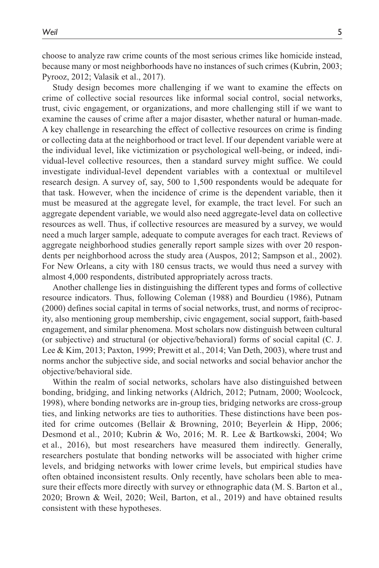choose to analyze raw crime counts of the most serious crimes like homicide instead, because many or most neighborhoods have no instances of such crimes (Kubrin, 2003; Pyrooz, 2012; Valasik et al., 2017).

Study design becomes more challenging if we want to examine the effects on crime of collective social resources like informal social control, social networks, trust, civic engagement, or organizations, and more challenging still if we want to examine the causes of crime after a major disaster, whether natural or human-made. A key challenge in researching the effect of collective resources on crime is finding or collecting data at the neighborhood or tract level. If our dependent variable were at the individual level, like victimization or psychological well-being, or indeed, individual-level collective resources, then a standard survey might suffice. We could investigate individual-level dependent variables with a contextual or multilevel research design. A survey of, say, 500 to 1,500 respondents would be adequate for that task. However, when the incidence of crime is the dependent variable, then it must be measured at the aggregate level, for example, the tract level. For such an aggregate dependent variable, we would also need aggregate-level data on collective resources as well. Thus, if collective resources are measured by a survey, we would need a much larger sample, adequate to compute averages for each tract. Reviews of aggregate neighborhood studies generally report sample sizes with over 20 respondents per neighborhood across the study area (Auspos, 2012; Sampson et al., 2002). For New Orleans, a city with 180 census tracts, we would thus need a survey with almost 4,000 respondents, distributed appropriately across tracts.

Another challenge lies in distinguishing the different types and forms of collective resource indicators. Thus, following Coleman (1988) and Bourdieu (1986), Putnam (2000) defines social capital in terms of social networks, trust, and norms of reciprocity, also mentioning group membership, civic engagement, social support, faith-based engagement, and similar phenomena. Most scholars now distinguish between cultural (or subjective) and structural (or objective/behavioral) forms of social capital (C. J. Lee & Kim, 2013; Paxton, 1999; Prewitt et al., 2014; Van Deth, 2003), where trust and norms anchor the subjective side, and social networks and social behavior anchor the objective/behavioral side.

Within the realm of social networks, scholars have also distinguished between bonding, bridging, and linking networks (Aldrich, 2012; Putnam, 2000; Woolcock, 1998), where bonding networks are in-group ties, bridging networks are cross-group ties, and linking networks are ties to authorities. These distinctions have been posited for crime outcomes (Bellair & Browning, 2010; Beyerlein & Hipp, 2006; Desmond et al., 2010; Kubrin & Wo, 2016; M. R. Lee & Bartkowski, 2004; Wo et al., 2016), but most researchers have measured them indirectly. Generally, researchers postulate that bonding networks will be associated with higher crime levels, and bridging networks with lower crime levels, but empirical studies have often obtained inconsistent results. Only recently, have scholars been able to measure their effects more directly with survey or ethnographic data (M. S. Barton et al., 2020; Brown & Weil, 2020; Weil, Barton, et al., 2019) and have obtained results consistent with these hypotheses.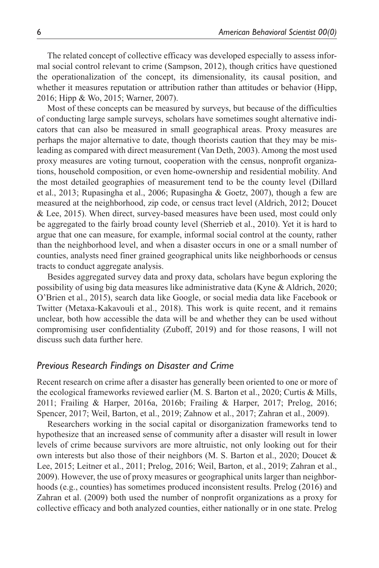The related concept of collective efficacy was developed especially to assess informal social control relevant to crime (Sampson, 2012), though critics have questioned the operationalization of the concept, its dimensionality, its causal position, and whether it measures reputation or attribution rather than attitudes or behavior (Hipp, 2016; Hipp & Wo, 2015; Warner, 2007).

Most of these concepts can be measured by surveys, but because of the difficulties of conducting large sample surveys, scholars have sometimes sought alternative indicators that can also be measured in small geographical areas. Proxy measures are perhaps the major alternative to date, though theorists caution that they may be misleading as compared with direct measurement (Van Deth, 2003). Among the most used proxy measures are voting turnout, cooperation with the census, nonprofit organizations, household composition, or even home-ownership and residential mobility. And the most detailed geographies of measurement tend to be the county level (Dillard et al., 2013; Rupasingha et al., 2006; Rupasingha & Goetz, 2007), though a few are measured at the neighborhood, zip code, or census tract level (Aldrich, 2012; Doucet & Lee, 2015). When direct, survey-based measures have been used, most could only be aggregated to the fairly broad county level (Sherrieb et al., 2010). Yet it is hard to argue that one can measure, for example, informal social control at the county, rather than the neighborhood level, and when a disaster occurs in one or a small number of counties, analysts need finer grained geographical units like neighborhoods or census tracts to conduct aggregate analysis.

Besides aggregated survey data and proxy data, scholars have begun exploring the possibility of using big data measures like administrative data (Kyne & Aldrich, 2020; O'Brien et al., 2015), search data like Google, or social media data like Facebook or Twitter (Metaxa-Kakavouli et al., 2018). This work is quite recent, and it remains unclear, both how accessible the data will be and whether they can be used without compromising user confidentiality (Zuboff, 2019) and for those reasons, I will not discuss such data further here.

## *Previous Research Findings on Disaster and Crime*

Recent research on crime after a disaster has generally been oriented to one or more of the ecological frameworks reviewed earlier (M. S. Barton et al., 2020; Curtis & Mills, 2011; Frailing & Harper, 2016a, 2016b; Frailing & Harper, 2017; Prelog, 2016; Spencer, 2017; Weil, Barton, et al., 2019; Zahnow et al., 2017; Zahran et al., 2009).

Researchers working in the social capital or disorganization frameworks tend to hypothesize that an increased sense of community after a disaster will result in lower levels of crime because survivors are more altruistic, not only looking out for their own interests but also those of their neighbors (M. S. Barton et al., 2020; Doucet & Lee, 2015; Leitner et al., 2011; Prelog, 2016; Weil, Barton, et al., 2019; Zahran et al., 2009). However, the use of proxy measures or geographical units larger than neighborhoods (e.g., counties) has sometimes produced inconsistent results. Prelog (2016) and Zahran et al. (2009) both used the number of nonprofit organizations as a proxy for collective efficacy and both analyzed counties, either nationally or in one state. Prelog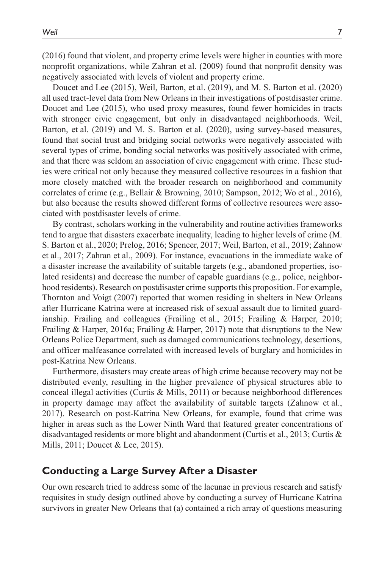(2016) found that violent, and property crime levels were higher in counties with more nonprofit organizations, while Zahran et al. (2009) found that nonprofit density was negatively associated with levels of violent and property crime.

Doucet and Lee (2015), Weil, Barton, et al. (2019), and M. S. Barton et al. (2020) all used tract-level data from New Orleans in their investigations of postdisaster crime. Doucet and Lee (2015), who used proxy measures, found fewer homicides in tracts with stronger civic engagement, but only in disadvantaged neighborhoods. Weil, Barton, et al. (2019) and M. S. Barton et al. (2020), using survey-based measures, found that social trust and bridging social networks were negatively associated with several types of crime, bonding social networks was positively associated with crime, and that there was seldom an association of civic engagement with crime. These studies were critical not only because they measured collective resources in a fashion that more closely matched with the broader research on neighborhood and community correlates of crime (e.g., Bellair & Browning, 2010; Sampson, 2012; Wo et al., 2016), but also because the results showed different forms of collective resources were associated with postdisaster levels of crime.

By contrast, scholars working in the vulnerability and routine activities frameworks tend to argue that disasters exacerbate inequality, leading to higher levels of crime (M. S. Barton et al., 2020; Prelog, 2016; Spencer, 2017; Weil, Barton, et al., 2019; Zahnow et al., 2017; Zahran et al., 2009). For instance, evacuations in the immediate wake of a disaster increase the availability of suitable targets (e.g., abandoned properties, isolated residents) and decrease the number of capable guardians (e.g., police, neighborhood residents). Research on postdisaster crime supports this proposition. For example, Thornton and Voigt (2007) reported that women residing in shelters in New Orleans after Hurricane Katrina were at increased risk of sexual assault due to limited guardianship. Frailing and colleagues (Frailing et al., 2015; Frailing & Harper, 2010; Frailing & Harper, 2016a; Frailing & Harper, 2017) note that disruptions to the New Orleans Police Department, such as damaged communications technology, desertions, and officer malfeasance correlated with increased levels of burglary and homicides in post-Katrina New Orleans.

Furthermore, disasters may create areas of high crime because recovery may not be distributed evenly, resulting in the higher prevalence of physical structures able to conceal illegal activities (Curtis & Mills, 2011) or because neighborhood differences in property damage may affect the availability of suitable targets (Zahnow et al., 2017). Research on post-Katrina New Orleans, for example, found that crime was higher in areas such as the Lower Ninth Ward that featured greater concentrations of disadvantaged residents or more blight and abandonment (Curtis et al., 2013; Curtis & Mills, 2011; Doucet & Lee, 2015).

# **Conducting a Large Survey After a Disaster**

Our own research tried to address some of the lacunae in previous research and satisfy requisites in study design outlined above by conducting a survey of Hurricane Katrina survivors in greater New Orleans that (a) contained a rich array of questions measuring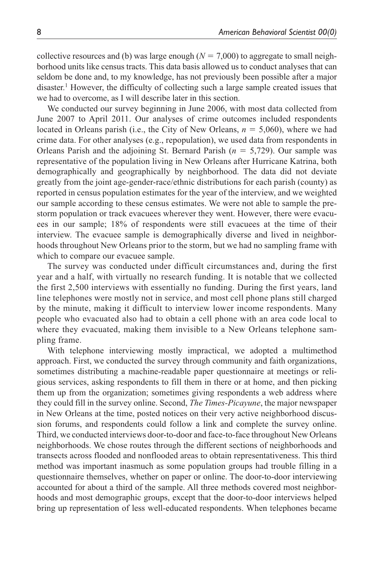collective resources and (b) was large enough  $(N = 7,000)$  to aggregate to small neighborhood units like census tracts. This data basis allowed us to conduct analyses that can seldom be done and, to my knowledge, has not previously been possible after a major disaster.<sup>1</sup> However, the difficulty of collecting such a large sample created issues that we had to overcome, as I will describe later in this section.

We conducted our survey beginning in June 2006, with most data collected from June 2007 to April 2011. Our analyses of crime outcomes included respondents located in Orleans parish (i.e., the City of New Orleans, *n* = 5,060), where we had crime data. For other analyses (e.g., repopulation), we used data from respondents in Orleans Parish and the adjoining St. Bernard Parish (*n* = 5,729). Our sample was representative of the population living in New Orleans after Hurricane Katrina, both demographically and geographically by neighborhood. The data did not deviate greatly from the joint age-gender-race/ethnic distributions for each parish (county) as reported in census population estimates for the year of the interview, and we weighted our sample according to these census estimates. We were not able to sample the prestorm population or track evacuees wherever they went. However, there were evacuees in our sample; 18% of respondents were still evacuees at the time of their interview. The evacuee sample is demographically diverse and lived in neighborhoods throughout New Orleans prior to the storm, but we had no sampling frame with which to compare our evacuee sample.

The survey was conducted under difficult circumstances and, during the first year and a half, with virtually no research funding. It is notable that we collected the first 2,500 interviews with essentially no funding. During the first years, land line telephones were mostly not in service, and most cell phone plans still charged by the minute, making it difficult to interview lower income respondents. Many people who evacuated also had to obtain a cell phone with an area code local to where they evacuated, making them invisible to a New Orleans telephone sampling frame.

With telephone interviewing mostly impractical, we adopted a multimethod approach. First, we conducted the survey through community and faith organizations, sometimes distributing a machine-readable paper questionnaire at meetings or religious services, asking respondents to fill them in there or at home, and then picking them up from the organization; sometimes giving respondents a web address where they could fill in the survey online. Second, *The Times-Picayune*, the major newspaper in New Orleans at the time, posted notices on their very active neighborhood discussion forums, and respondents could follow a link and complete the survey online. Third, we conducted interviews door-to-door and face-to-face throughout New Orleans neighborhoods. We chose routes through the different sections of neighborhoods and transects across flooded and nonflooded areas to obtain representativeness. This third method was important inasmuch as some population groups had trouble filling in a questionnaire themselves, whether on paper or online. The door-to-door interviewing accounted for about a third of the sample. All three methods covered most neighborhoods and most demographic groups, except that the door-to-door interviews helped bring up representation of less well-educated respondents. When telephones became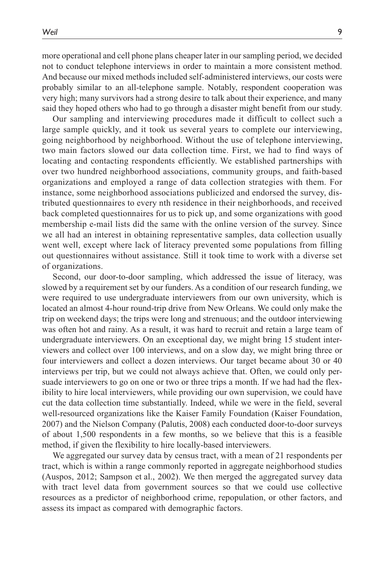more operational and cell phone plans cheaper later in our sampling period, we decided not to conduct telephone interviews in order to maintain a more consistent method. And because our mixed methods included self-administered interviews, our costs were probably similar to an all-telephone sample. Notably, respondent cooperation was very high; many survivors had a strong desire to talk about their experience, and many said they hoped others who had to go through a disaster might benefit from our study.

Our sampling and interviewing procedures made it difficult to collect such a large sample quickly, and it took us several years to complete our interviewing, going neighborhood by neighborhood. Without the use of telephone interviewing, two main factors slowed our data collection time. First, we had to find ways of locating and contacting respondents efficiently. We established partnerships with over two hundred neighborhood associations, community groups, and faith-based organizations and employed a range of data collection strategies with them. For instance, some neighborhood associations publicized and endorsed the survey, distributed questionnaires to every nth residence in their neighborhoods, and received back completed questionnaires for us to pick up, and some organizations with good membership e-mail lists did the same with the online version of the survey. Since we all had an interest in obtaining representative samples, data collection usually went well, except where lack of literacy prevented some populations from filling out questionnaires without assistance. Still it took time to work with a diverse set of organizations.

Second, our door-to-door sampling, which addressed the issue of literacy, was slowed by a requirement set by our funders. As a condition of our research funding, we were required to use undergraduate interviewers from our own university, which is located an almost 4-hour round-trip drive from New Orleans. We could only make the trip on weekend days; the trips were long and strenuous; and the outdoor interviewing was often hot and rainy. As a result, it was hard to recruit and retain a large team of undergraduate interviewers. On an exceptional day, we might bring 15 student interviewers and collect over 100 interviews, and on a slow day, we might bring three or four interviewers and collect a dozen interviews. Our target became about 30 or 40 interviews per trip, but we could not always achieve that. Often, we could only persuade interviewers to go on one or two or three trips a month. If we had had the flexibility to hire local interviewers, while providing our own supervision, we could have cut the data collection time substantially. Indeed, while we were in the field, several well-resourced organizations like the Kaiser Family Foundation (Kaiser Foundation, 2007) and the Nielson Company (Palutis, 2008) each conducted door-to-door surveys of about 1,500 respondents in a few months, so we believe that this is a feasible method, if given the flexibility to hire locally-based interviewers.

We aggregated our survey data by census tract, with a mean of 21 respondents per tract, which is within a range commonly reported in aggregate neighborhood studies (Auspos, 2012; Sampson et al., 2002). We then merged the aggregated survey data with tract level data from government sources so that we could use collective resources as a predictor of neighborhood crime, repopulation, or other factors, and assess its impact as compared with demographic factors.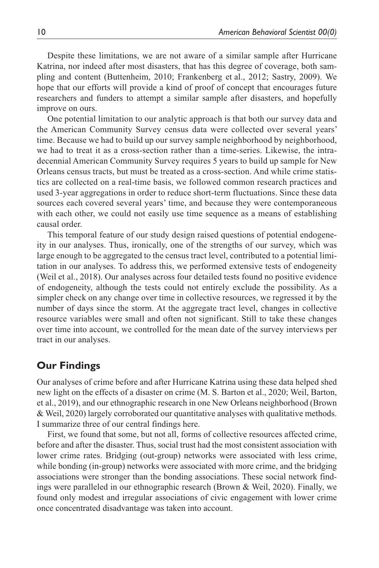Despite these limitations, we are not aware of a similar sample after Hurricane Katrina, nor indeed after most disasters, that has this degree of coverage, both sampling and content (Buttenheim, 2010; Frankenberg et al., 2012; Sastry, 2009). We hope that our efforts will provide a kind of proof of concept that encourages future researchers and funders to attempt a similar sample after disasters, and hopefully improve on ours.

One potential limitation to our analytic approach is that both our survey data and the American Community Survey census data were collected over several years' time. Because we had to build up our survey sample neighborhood by neighborhood, we had to treat it as a cross-section rather than a time-series. Likewise, the intradecennial American Community Survey requires 5 years to build up sample for New Orleans census tracts, but must be treated as a cross-section. And while crime statistics are collected on a real-time basis, we followed common research practices and used 3-year aggregations in order to reduce short-term fluctuations. Since these data sources each covered several years' time, and because they were contemporaneous with each other, we could not easily use time sequence as a means of establishing causal order.

This temporal feature of our study design raised questions of potential endogeneity in our analyses. Thus, ironically, one of the strengths of our survey, which was large enough to be aggregated to the census tract level, contributed to a potential limitation in our analyses. To address this, we performed extensive tests of endogeneity (Weil et al., 2018). Our analyses across four detailed tests found no positive evidence of endogeneity, although the tests could not entirely exclude the possibility. As a simpler check on any change over time in collective resources, we regressed it by the number of days since the storm. At the aggregate tract level, changes in collective resource variables were small and often not significant. Still to take these changes over time into account, we controlled for the mean date of the survey interviews per tract in our analyses.

# **Our Findings**

Our analyses of crime before and after Hurricane Katrina using these data helped shed new light on the effects of a disaster on crime (M. S. Barton et al., 2020; Weil, Barton, et al., 2019), and our ethnographic research in one New Orleans neighborhood (Brown & Weil, 2020) largely corroborated our quantitative analyses with qualitative methods. I summarize three of our central findings here.

First, we found that some, but not all, forms of collective resources affected crime, before and after the disaster. Thus, social trust had the most consistent association with lower crime rates. Bridging (out-group) networks were associated with less crime, while bonding (in-group) networks were associated with more crime, and the bridging associations were stronger than the bonding associations. These social network findings were paralleled in our ethnographic research (Brown & Weil, 2020). Finally, we found only modest and irregular associations of civic engagement with lower crime once concentrated disadvantage was taken into account.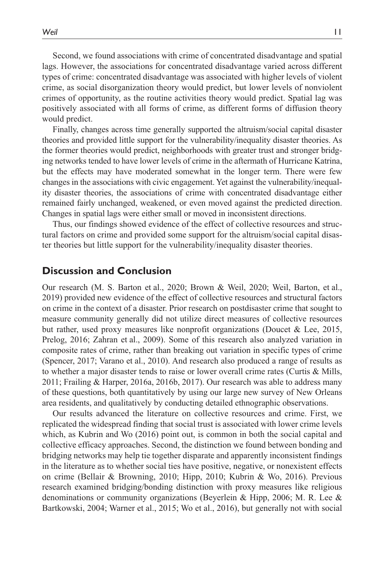Second, we found associations with crime of concentrated disadvantage and spatial lags. However, the associations for concentrated disadvantage varied across different types of crime: concentrated disadvantage was associated with higher levels of violent crime, as social disorganization theory would predict, but lower levels of nonviolent crimes of opportunity, as the routine activities theory would predict. Spatial lag was positively associated with all forms of crime, as different forms of diffusion theory would predict.

Finally, changes across time generally supported the altruism/social capital disaster theories and provided little support for the vulnerability/inequality disaster theories. As the former theories would predict, neighborhoods with greater trust and stronger bridging networks tended to have lower levels of crime in the aftermath of Hurricane Katrina, but the effects may have moderated somewhat in the longer term. There were few changes in the associations with civic engagement. Yet against the vulnerability/inequality disaster theories, the associations of crime with concentrated disadvantage either remained fairly unchanged, weakened, or even moved against the predicted direction. Changes in spatial lags were either small or moved in inconsistent directions.

Thus, our findings showed evidence of the effect of collective resources and structural factors on crime and provided some support for the altruism/social capital disaster theories but little support for the vulnerability/inequality disaster theories.

# **Discussion and Conclusion**

Our research (M. S. Barton et al., 2020; Brown & Weil, 2020; Weil, Barton, et al., 2019) provided new evidence of the effect of collective resources and structural factors on crime in the context of a disaster. Prior research on postdisaster crime that sought to measure community generally did not utilize direct measures of collective resources but rather, used proxy measures like nonprofit organizations (Doucet & Lee, 2015, Prelog, 2016; Zahran et al., 2009). Some of this research also analyzed variation in composite rates of crime, rather than breaking out variation in specific types of crime (Spencer, 2017; Varano et al., 2010). And research also produced a range of results as to whether a major disaster tends to raise or lower overall crime rates (Curtis & Mills, 2011; Frailing & Harper, 2016a, 2016b, 2017). Our research was able to address many of these questions, both quantitatively by using our large new survey of New Orleans area residents, and qualitatively by conducting detailed ethnographic observations.

Our results advanced the literature on collective resources and crime. First, we replicated the widespread finding that social trust is associated with lower crime levels which, as Kubrin and Wo (2016) point out, is common in both the social capital and collective efficacy approaches. Second, the distinction we found between bonding and bridging networks may help tie together disparate and apparently inconsistent findings in the literature as to whether social ties have positive, negative, or nonexistent effects on crime (Bellair & Browning, 2010; Hipp, 2010; Kubrin & Wo, 2016). Previous research examined bridging/bonding distinction with proxy measures like religious denominations or community organizations (Beyerlein & Hipp, 2006; M. R. Lee & Bartkowski, 2004; Warner et al., 2015; Wo et al., 2016), but generally not with social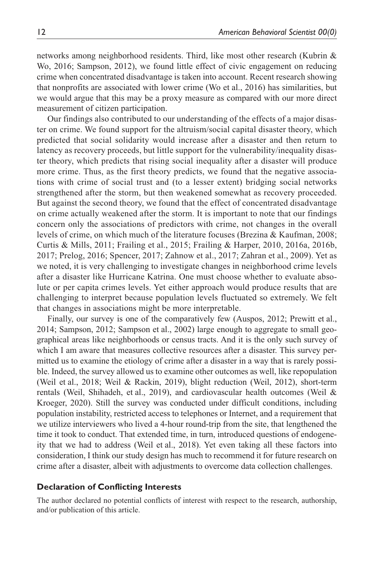networks among neighborhood residents. Third, like most other research (Kubrin & Wo, 2016; Sampson, 2012), we found little effect of civic engagement on reducing crime when concentrated disadvantage is taken into account. Recent research showing that nonprofits are associated with lower crime (Wo et al., 2016) has similarities, but we would argue that this may be a proxy measure as compared with our more direct measurement of citizen participation.

Our findings also contributed to our understanding of the effects of a major disaster on crime. We found support for the altruism/social capital disaster theory, which predicted that social solidarity would increase after a disaster and then return to latency as recovery proceeds, but little support for the vulnerability/inequality disaster theory, which predicts that rising social inequality after a disaster will produce more crime. Thus, as the first theory predicts, we found that the negative associations with crime of social trust and (to a lesser extent) bridging social networks strengthened after the storm, but then weakened somewhat as recovery proceeded. But against the second theory, we found that the effect of concentrated disadvantage on crime actually weakened after the storm. It is important to note that our findings concern only the associations of predictors with crime, not changes in the overall levels of crime, on which much of the literature focuses (Brezina & Kaufman, 2008; Curtis & Mills, 2011; Frailing et al., 2015; Frailing & Harper, 2010, 2016a, 2016b, 2017; Prelog, 2016; Spencer, 2017; Zahnow et al., 2017; Zahran et al., 2009). Yet as we noted, it is very challenging to investigate changes in neighborhood crime levels after a disaster like Hurricane Katrina. One must choose whether to evaluate absolute or per capita crimes levels. Yet either approach would produce results that are challenging to interpret because population levels fluctuated so extremely. We felt that changes in associations might be more interpretable.

Finally, our survey is one of the comparatively few (Auspos, 2012; Prewitt et al., 2014; Sampson, 2012; Sampson et al., 2002) large enough to aggregate to small geographical areas like neighborhoods or census tracts. And it is the only such survey of which I am aware that measures collective resources after a disaster. This survey permitted us to examine the etiology of crime after a disaster in a way that is rarely possible. Indeed, the survey allowed us to examine other outcomes as well, like repopulation (Weil et al., 2018; Weil & Rackin, 2019), blight reduction (Weil, 2012), short-term rentals (Weil, Shihadeh, et al., 2019), and cardiovascular health outcomes (Weil & Kroeger, 2020). Still the survey was conducted under difficult conditions, including population instability, restricted access to telephones or Internet, and a requirement that we utilize interviewers who lived a 4-hour round-trip from the site, that lengthened the time it took to conduct. That extended time, in turn, introduced questions of endogeneity that we had to address (Weil et al., 2018). Yet even taking all these factors into consideration, I think our study design has much to recommend it for future research on crime after a disaster, albeit with adjustments to overcome data collection challenges.

#### **Declaration of Conflicting Interests**

The author declared no potential conflicts of interest with respect to the research, authorship, and/or publication of this article.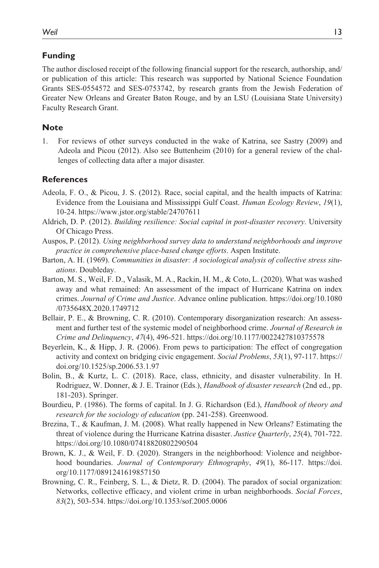### **Funding**

The author disclosed receipt of the following financial support for the research, authorship, and/ or publication of this article: This research was supported by National Science Foundation Grants SES-0554572 and SES-0753742, by research grants from the Jewish Federation of Greater New Orleans and Greater Baton Rouge, and by an LSU (Louisiana State University) Faculty Research Grant.

#### **Note**

1. For reviews of other surveys conducted in the wake of Katrina, see Sastry (2009) and Adeola and Picou (2012). Also see Buttenheim (2010) for a general review of the challenges of collecting data after a major disaster.

#### **References**

- Adeola, F. O., & Picou, J. S. (2012). Race, social capital, and the health impacts of Katrina: Evidence from the Louisiana and Mississippi Gulf Coast. *Human Ecology Review*, *19*(1), 10-24.<https://www.jstor.org/stable/24707611>
- Aldrich, D. P. (2012). *Building resilience: Social capital in post-disaster recovery*. University Of Chicago Press.
- Auspos, P. (2012). *Using neighborhood survey data to understand neighborhoods and improve practice in comprehensive place-based change efforts*. Aspen Institute.
- Barton, A. H. (1969). *Communities in disaster: A sociological analysis of collective stress situations*. Doubleday.
- Barton, M. S., Weil, F. D., Valasik, M. A., Rackin, H. M., & Coto, L. (2020). What was washed away and what remained: An assessment of the impact of Hurricane Katrina on index crimes. *Journal of Crime and Justice*. Advance online publication. [https://doi.org/10.1080](https://doi.org/10.1080/0735648X.2020.1749712) [/0735648X.2020.1749712](https://doi.org/10.1080/0735648X.2020.1749712)
- Bellair, P. E., & Browning, C. R. (2010). Contemporary disorganization research: An assessment and further test of the systemic model of neighborhood crime. *Journal of Research in Crime and Delinquency*, *47*(4), 496-521. <https://doi.org/10.1177/0022427810375578>
- Beyerlein, K., & Hipp, J. R. (2006). From pews to participation: The effect of congregation activity and context on bridging civic engagement. *Social Problems*, *53*(1), 97-117. [https://](https://doi.org/10.1525/sp.2006.53.1.97) [doi.org/10.1525/sp.2006.53.1.97](https://doi.org/10.1525/sp.2006.53.1.97)
- Bolin, B., & Kurtz, L. C. (2018). Race, class, ethnicity, and disaster vulnerability. In H. Rodriguez, W. Donner, & J. E. Trainor (Eds.), *Handbook of disaster research* (2nd ed., pp. 181-203). Springer.
- Bourdieu, P. (1986). The forms of capital. In J. G. Richardson (Ed.), *Handbook of theory and research for the sociology of education* (pp. 241-258). Greenwood.
- Brezina, T., & Kaufman, J. M. (2008). What really happened in New Orleans? Estimating the threat of violence during the Hurricane Katrina disaster. *Justice Quarterly*, *25*(4), 701-722. <https://doi.org/10.1080/07418820802290504>
- Brown, K. J., & Weil, F. D. (2020). Strangers in the neighborhood: Violence and neighborhood boundaries. *Journal of Contemporary Ethnography*, *49*(1), 86-117. [https://doi.](https://doi.org/10.1177/0891241619857150) [org/10.1177/0891241619857150](https://doi.org/10.1177/0891241619857150)
- Browning, C. R., Feinberg, S. L., & Dietz, R. D. (2004). The paradox of social organization: Networks, collective efficacy, and violent crime in urban neighborhoods. *Social Forces*, *83*(2), 503-534.<https://doi.org/10.1353/sof.2005.0006>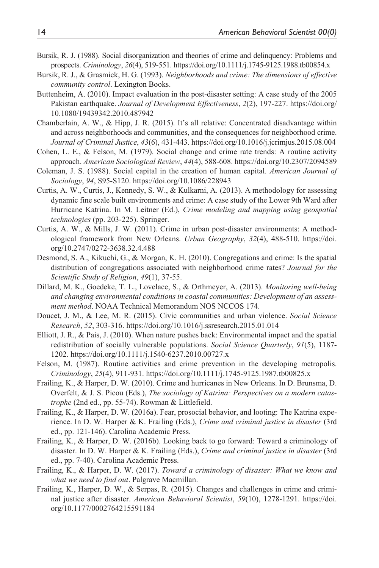- Bursik, R. J. (1988). Social disorganization and theories of crime and delinquency: Problems and prospects. *Criminology*, *26*(4), 519-551. <https://doi.org/10.1111/j.1745-9125.1988.tb00854.x>
- Bursik, R. J., & Grasmick, H. G. (1993). *Neighborhoods and crime: The dimensions of effective community control*. Lexington Books.
- Buttenheim, A. (2010). Impact evaluation in the post-disaster setting: A case study of the 2005 Pakistan earthquake. *Journal of Development Effectiveness*, *2*(2), 197-227. [https://doi.org/](https://doi.org/10.1080/19439342.2010.487942) [10.1080/19439342.2010.487942](https://doi.org/10.1080/19439342.2010.487942)
- Chamberlain, A. W., & Hipp, J. R. (2015). It's all relative: Concentrated disadvantage within and across neighborhoods and communities, and the consequences for neighborhood crime. *Journal of Criminal Justice*, *43*(6), 431-443.<https://doi.org/10.1016/j.jcrimjus.2015.08.004>
- Cohen, L. E., & Felson, M. (1979). Social change and crime rate trends: A routine activity approach. *American Sociological Review*, *44*(4), 588-608.<https://doi.org/10.2307/2094589>
- Coleman, J. S. (1988). Social capital in the creation of human capital. *American Journal of Sociology*, *94*, S95-S120. <https://doi.org/10.1086/228943>
- Curtis, A. W., Curtis, J., Kennedy, S. W., & Kulkarni, A. (2013). A methodology for assessing dynamic fine scale built environments and crime: A case study of the Lower 9th Ward after Hurricane Katrina. In M. Leitner (Ed.), *Crime modeling and mapping using geospatial technologies* (pp. 203-225). Springer.
- Curtis, A. W., & Mills, J. W. (2011). Crime in urban post-disaster environments: A methodological framework from New Orleans. *Urban Geography*, *32*(4), 488-510. [https://doi.](https://doi.org/10.2747/0272-3638.32.4.488) [org/10.2747/0272-3638.32.4.488](https://doi.org/10.2747/0272-3638.32.4.488)
- Desmond, S. A., Kikuchi, G., & Morgan, K. H. (2010). Congregations and crime: Is the spatial distribution of congregations associated with neighborhood crime rates? *Journal for the Scientific Study of Religion*, *49*(1), 37-55.
- Dillard, M. K., Goedeke, T. L., Lovelace, S., & Orthmeyer, A. (2013). *Monitoring well-being and changing environmental conditions in coastal communities: Development of an assessment method*. NOAA Technical Memorandum NOS NCCOS 174.
- Doucet, J. M., & Lee, M. R. (2015). Civic communities and urban violence. *Social Science Research*, *52*, 303-316. <https://doi.org/10.1016/j.ssresearch.2015.01.014>
- Elliott, J. R., & Pais, J. (2010). When nature pushes back: Environmental impact and the spatial redistribution of socially vulnerable populations. *Social Science Quarterly*, *91*(5), 1187- 1202.<https://doi.org/10.1111/j.1540-6237.2010.00727.x>
- Felson, M. (1987). Routine activities and crime prevention in the developing metropolis. *Criminology*, *25*(4), 911-931.<https://doi.org/10.1111/j.1745-9125.1987.tb00825.x>
- Frailing, K., & Harper, D. W. (2010). Crime and hurricanes in New Orleans. In D. Brunsma, D. Overfelt, & J. S. Picou (Eds.), *The sociology of Katrina: Perspectives on a modern catastrophe* (2nd ed., pp. 55-74). Rowman & Littlefield.
- Frailing, K., & Harper, D. W. (2016a). Fear, prosocial behavior, and looting: The Katrina experience. In D. W. Harper & K. Frailing (Eds.), *Crime and criminal justice in disaster* (3rd ed., pp. 121-146). Carolina Academic Press.
- Frailing, K., & Harper, D. W. (2016b). Looking back to go forward: Toward a criminology of disaster. In D. W. Harper & K. Frailing (Eds.), *Crime and criminal justice in disaster* (3rd ed., pp. 7-40). Carolina Academic Press.
- Frailing, K., & Harper, D. W. (2017). *Toward a criminology of disaster: What we know and what we need to find out*. Palgrave Macmillan.
- Frailing, K., Harper, D. W., & Serpas, R. (2015). Changes and challenges in crime and criminal justice after disaster. *American Behavioral Scientist*, *59*(10), 1278-1291. [https://doi.](https://doi.org/10.1177/0002764215591184) [org/10.1177/0002764215591184](https://doi.org/10.1177/0002764215591184)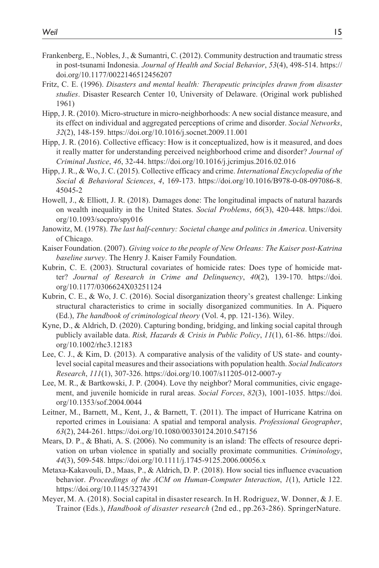- Frankenberg, E., Nobles, J., & Sumantri, C. (2012). Community destruction and traumatic stress in post-tsunami Indonesia. *Journal of Health and Social Behavior*, *53*(4), 498-514. [https://](https://doi.org/10.1177/0022146512456207) [doi.org/10.1177/0022146512456207](https://doi.org/10.1177/0022146512456207)
- Fritz, C. E. (1996). *Disasters and mental health: Therapeutic principles drawn from disaster studies*. Disaster Research Center 10, University of Delaware. (Original work published 1961)
- Hipp, J. R. (2010). Micro-structure in micro-neighborhoods: A new social distance measure, and its effect on individual and aggregated perceptions of crime and disorder. *Social Networks*, *32*(2), 148-159.<https://doi.org/10.1016/j.socnet.2009.11.001>
- Hipp, J. R. (2016). Collective efficacy: How is it conceptualized, how is it measured, and does it really matter for understanding perceived neighborhood crime and disorder? *Journal of Criminal Justice*, *46*, 32-44. <https://doi.org/10.1016/j.jcrimjus.2016.02.016>
- Hipp, J. R., & Wo, J. C. (2015). Collective efficacy and crime. *International Encyclopedia of the Social & Behavioral Sciences*, *4*, 169-173. [https://doi.org/10.1016/B978-0-08-097086-8.](https://doi.org/10.1016/B978-0-08-097086-8.45045-2) [45045-2](https://doi.org/10.1016/B978-0-08-097086-8.45045-2)
- Howell, J., & Elliott, J. R. (2018). Damages done: The longitudinal impacts of natural hazards on wealth inequality in the United States. *Social Problems*, *66*(3), 420-448. [https://doi.](https://doi.org/10.1093/socpro/spy016) [org/10.1093/socpro/spy016](https://doi.org/10.1093/socpro/spy016)
- Janowitz, M. (1978). *The last half-century: Societal change and politics in America*. University of Chicago.
- Kaiser Foundation. (2007). *Giving voice to the people of New Orleans: The Kaiser post-Katrina baseline survey*. The Henry J. Kaiser Family Foundation.
- Kubrin, C. E. (2003). Structural covariates of homicide rates: Does type of homicide matter? *Journal of Research in Crime and Delinquency*, *40*(2), 139-170. [https://doi.](https://doi.org/10.1177/0306624X03251124) [org/10.1177/0306624X03251124](https://doi.org/10.1177/0306624X03251124)
- Kubrin, C. E., & Wo, J. C. (2016). Social disorganization theory's greatest challenge: Linking structural characteristics to crime in socially disorganized communities. In A. Piquero (Ed.), *The handbook of criminological theory* (Vol. 4, pp. 121-136). Wiley.
- Kyne, D., & Aldrich, D. (2020). Capturing bonding, bridging, and linking social capital through publicly available data. *Risk, Hazards & Crisis in Public Policy*, *11*(1), 61-86. [https://doi.](https://doi.org/10.1002/rhc3.12183) [org/10.1002/rhc3.12183](https://doi.org/10.1002/rhc3.12183)
- Lee, C. J., & Kim, D. (2013). A comparative analysis of the validity of US state- and countylevel social capital measures and their associations with population health. *Social Indicators Research*, *111*(1), 307-326. <https://doi.org/10.1007/s11205-012-0007-y>
- Lee, M. R., & Bartkowski, J. P. (2004). Love thy neighbor? Moral communities, civic engagement, and juvenile homicide in rural areas. *Social Forces*, *82*(3), 1001-1035. [https://doi.](https://doi.org/10.1353/sof.2004.0044) [org/10.1353/sof.2004.0044](https://doi.org/10.1353/sof.2004.0044)
- Leitner, M., Barnett, M., Kent, J., & Barnett, T. (2011). The impact of Hurricane Katrina on reported crimes in Louisiana: A spatial and temporal analysis. *Professional Geographer*, *63*(2), 244-261.<https://doi.org/10.1080/00330124.2010.547156>
- Mears, D. P., & Bhati, A. S. (2006). No community is an island: The effects of resource deprivation on urban violence in spatially and socially proximate communities. *Criminology*, *44*(3), 509-548.<https://doi.org/10.1111/j.1745-9125.2006.00056.x>
- Metaxa-Kakavouli, D., Maas, P., & Aldrich, D. P. (2018). How social ties influence evacuation behavior. *Proceedings of the ACM on Human-Computer Interaction*, *1*(1), Article 122. <https://doi.org/10.1145/3274391>
- Meyer, M. A. (2018). Social capital in disaster research. In H. Rodriguez, W. Donner, & J. E. Trainor (Eds.), *Handbook of disaster research* (2nd ed., pp.263-286). SpringerNature.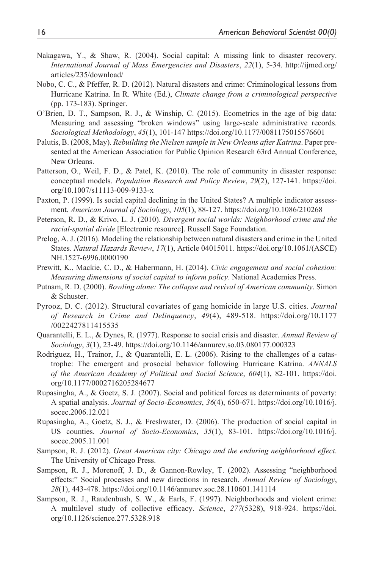- Nakagawa, Y., & Shaw, R. (2004). Social capital: A missing link to disaster recovery. *International Journal of Mass Emergencies and Disasters*, *22*(1), 5-34. [http://ijmed.org/](http://ijmed.org/articles/235/download/) [articles/235/download/](http://ijmed.org/articles/235/download/)
- Nobo, C. C., & Pfeffer, R. D. (2012). Natural disasters and crime: Criminological lessons from Hurricane Katrina. In R. White (Ed.), *Climate change from a criminological perspective* (pp. 173-183). Springer.
- O'Brien, D. T., Sampson, R. J., & Winship, C. (2015). Ecometrics in the age of big data: Measuring and assessing "broken windows" using large-scale administrative records. *Sociological Methodology*, *45*(1), 101-147<https://doi.org/10.1177/0081175015576601>
- Palutis, B. (2008, May). *Rebuilding the Nielsen sample in New Orleans after Katrina*. Paper presented at the American Association for Public Opinion Research 63rd Annual Conference, New Orleans.
- Patterson, O., Weil, F. D., & Patel, K. (2010). The role of community in disaster response: conceptual models. *Population Research and Policy Review*, *29*(2), 127-141. [https://doi.](https://doi.org/10.1007/s11113-009-9133-x) [org/10.1007/s11113-009-9133-x](https://doi.org/10.1007/s11113-009-9133-x)
- Paxton, P. (1999). Is social capital declining in the United States? A multiple indicator assessment. *American Journal of Sociology*, *105*(1), 88-127. <https://doi.org/10.1086/210268>
- Peterson, R. D., & Krivo, L. J. (2010). *Divergent social worlds: Neighborhood crime and the racial-spatial divide* [Electronic resource]. Russell Sage Foundation.
- Prelog, A. J. (2016). Modeling the relationship between natural disasters and crime in the United States. *Natural Hazards Review*, *17*(1), Article 04015011. [https://doi.org/10.1061/\(ASCE\)](https://doi.org/10.1061/(ASCE)NH.1527-6996.0000190) [NH.1527-6996.0000190](https://doi.org/10.1061/(ASCE)NH.1527-6996.0000190)
- Prewitt, K., Mackie, C. D., & Habermann, H. (2014). *Civic engagement and social cohesion: Measuring dimensions of social capital to inform policy*. National Academies Press.
- Putnam, R. D. (2000). *Bowling alone: The collapse and revival of American community*. Simon & Schuster.
- Pyrooz, D. C. (2012). Structural covariates of gang homicide in large U.S. cities. *Journal of Research in Crime and Delinquency*, *49*(4), 489-518. [https://doi.org/10.1177](https://doi.org/10.1177/0022427811415535) [/0022427811415535](https://doi.org/10.1177/0022427811415535)
- Quarantelli, E. L., & Dynes, R. (1977). Response to social crisis and disaster. *Annual Review of Sociology*, *3*(1), 23-49. <https://doi.org/10.1146/annurev.so.03.080177.000323>
- Rodriguez, H., Trainor, J., & Quarantelli, E. L. (2006). Rising to the challenges of a catastrophe: The emergent and prosocial behavior following Hurricane Katrina. *ANNALS of the American Academy of Political and Social Science*, *604*(1), 82-101. [https://doi.](https://doi.org/10.1177/0002716205284677) [org/10.1177/0002716205284677](https://doi.org/10.1177/0002716205284677)
- Rupasingha, A., & Goetz, S. J. (2007). Social and political forces as determinants of poverty: A spatial analysis. *Journal of Socio-Economics*, *36*(4), 650-671. [https://doi.org/10.1016/j.](https://doi.org/10.1016/j.socec.2006.12.021) [socec.2006.12.021](https://doi.org/10.1016/j.socec.2006.12.021)
- Rupasingha, A., Goetz, S. J., & Freshwater, D. (2006). The production of social capital in US counties. *Journal of Socio-Economics*, *35*(1), 83-101. [https://doi.org/10.1016/j.](https://doi.org/10.1016/j.socec.2005.11.001) [socec.2005.11.001](https://doi.org/10.1016/j.socec.2005.11.001)
- Sampson, R. J. (2012). *Great American city: Chicago and the enduring neighborhood effect*. The University of Chicago Press.
- Sampson, R. J., Morenoff, J. D., & Gannon-Rowley, T. (2002). Assessing "neighborhood effects:" Social processes and new directions in research. *Annual Review of Sociology*, *28*(1), 443-478.<https://doi.org/10.1146/annurev.soc.28.110601.141114>
- Sampson, R. J., Raudenbush, S. W., & Earls, F. (1997). Neighborhoods and violent crime: A multilevel study of collective efficacy. *Science*, *277*(5328), 918-924. [https://doi.](https://doi.org/10.1126/science.277.5328.918) [org/10.1126/science.277.5328.918](https://doi.org/10.1126/science.277.5328.918)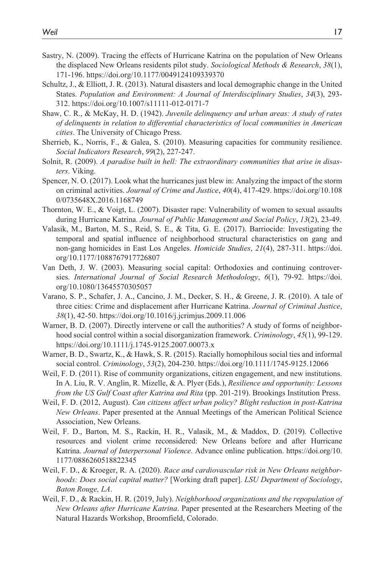- Sastry, N. (2009). Tracing the effects of Hurricane Katrina on the population of New Orleans the displaced New Orleans residents pilot study. *Sociological Methods & Research*, *38*(1), 171-196.<https://doi.org/10.1177/0049124109339370>
- Schultz, J., & Elliott, J. R. (2013). Natural disasters and local demographic change in the United States. *Population and Environment: A Journal of Interdisciplinary Studies*, *34*(3), 293- 312.<https://doi.org/10.1007/s11111-012-0171-7>
- Shaw, C. R., & McKay, H. D. (1942). *Juvenile delinquency and urban areas: A study of rates of delinquents in relation to differential characteristics of local communities in American cities*. The University of Chicago Press.
- Sherrieb, K., Norris, F., & Galea, S. (2010). Measuring capacities for community resilience. *Social Indicators Research*, *99*(2), 227-247.
- Solnit, R. (2009). *A paradise built in hell: The extraordinary communities that arise in disasters*. Viking.
- Spencer, N. O. (2017). Look what the hurricanes just blew in: Analyzing the impact of the storm on criminal activities. *Journal of Crime and Justice*, *40*(4), 417-429. [https://doi.org/10.108](https://doi.org/10.1080/0735648X.2016.1168749) [0/0735648X.2016.1168749](https://doi.org/10.1080/0735648X.2016.1168749)
- Thornton, W. E., & Voigt, L. (2007). Disaster rape: Vulnerability of women to sexual assaults during Hurricane Katrina. *Journal of Public Management and Social Policy*, *13*(2), 23-49.
- Valasik, M., Barton, M. S., Reid, S. E., & Tita, G. E. (2017). Barriocide: Investigating the temporal and spatial influence of neighborhood structural characteristics on gang and non-gang homicides in East Los Angeles. *Homicide Studies*, *21*(4), 287-311. [https://doi.](https://doi.org/10.1177/1088767917726807) [org/10.1177/1088767917726807](https://doi.org/10.1177/1088767917726807)
- Van Deth, J. W. (2003). Measuring social capital: Orthodoxies and continuing controversies. *International Journal of Social Research Methodology*, *6*(1), 79-92. [https://doi.](https://doi.org/10.1080/13645570305057) [org/10.1080/13645570305057](https://doi.org/10.1080/13645570305057)
- Varano, S. P., Schafer, J. A., Cancino, J. M., Decker, S. H., & Greene, J. R. (2010). A tale of three cities: Crime and displacement after Hurricane Katrina. *Journal of Criminal Justice*, *38*(1), 42-50.<https://doi.org/10.1016/j.jcrimjus.2009.11.006>
- Warner, B. D. (2007). Directly intervene or call the authorities? A study of forms of neighborhood social control within a social disorganization framework. *Criminology*, *45*(1), 99-129. <https://doi.org/10.1111/j.1745-9125.2007.00073.x>
- Warner, B. D., Swartz, K., & Hawk, S. R. (2015). Racially homophilous social ties and informal social control. *Criminology*, *53*(2), 204-230. <https://doi.org/10.1111/1745-9125.12066>
- Weil, F. D. (2011). Rise of community organizations, citizen engagement, and new institutions. In A. Liu, R. V. Anglin, R. Mizelle, & A. Plyer (Eds.), *Resilience and opportunity: Lessons from the US Gulf Coast after Katrina and Rita* (pp. 201-219). Brookings Institution Press.
- Weil, F. D. (2012, August). *Can citizens affect urban policy? Blight reduction in post-Katrina New Orleans*. Paper presented at the Annual Meetings of the American Political Science Association, New Orleans.
- Weil, F. D., Barton, M. S., Rackin, H. R., Valasik, M., & Maddox, D. (2019). Collective resources and violent crime reconsidered: New Orleans before and after Hurricane Katrina. *Journal of Interpersonal Violence*. Advance online publication. [https://doi.org/10.](https://doi.org/10.1177/0886260518822345) [1177/0886260518822345](https://doi.org/10.1177/0886260518822345)
- Weil, F. D., & Kroeger, R. A. (2020). *Race and cardiovascular risk in New Orleans neighborhoods: Does social capital matter?* [Working draft paper]. *LSU Department of Sociology*, *Baton Rouge, LA*.
- Weil, F. D., & Rackin, H. R. (2019, July). *Neighborhood organizations and the repopulation of New Orleans after Hurricane Katrina*. Paper presented at the Researchers Meeting of the Natural Hazards Workshop, Broomfield, Colorado.